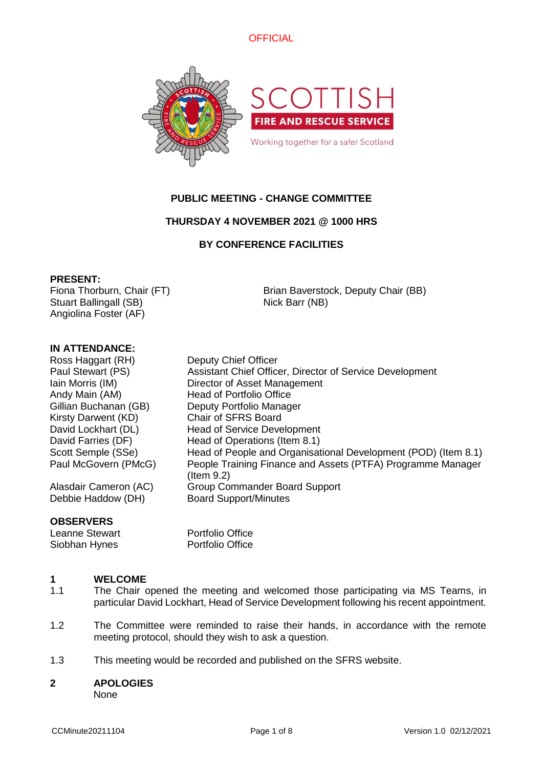



# **PUBLIC MEETING - CHANGE COMMITTEE**

# **THURSDAY 4 NOVEMBER 2021 @ 1000 HRS**

# **BY CONFERENCE FACILITIES**

### **PRESENT:**

Fiona Thorburn, Chair (FT) Stuart Ballingall (SB) Angiolina Foster (AF)

Brian Baverstock, Deputy Chair (BB) Nick Barr (NB)

# **IN ATTENDANCE:**

Ross Haggart (RH) Deputy Chief Officer Paul Stewart (PS) Assistant Chief Officer, Director of Service Development Iain Morris (IM) Director of Asset Management Andy Main (AM) Head of Portfolio Office Gillian Buchanan (GB) Deputy Portfolio Manager Kirsty Darwent (KD) Chair of SFRS Board David Lockhart (DL) Head of Service Development David Farries (DF) Head of Operations (Item 8.1) Scott Semple (SSe) Head of People and Organisational Development (POD) (Item 8.1) Paul McGovern (PMcG) People Training Finance and Assets (PTFA) Programme Manager

Alasdair Cameron (AC) Group Commander Board Support Debbie Haddow (DH) Board Support/Minutes

### **OBSERVERS**

Siobhan Hynes Portfolio Office

Leanne Stewart Portfolio Office

(Item 9.2)

### **1 WELCOME**

- 1.1 The Chair opened the meeting and welcomed those participating via MS Teams, in particular David Lockhart, Head of Service Development following his recent appointment.
- 1.2 The Committee were reminded to raise their hands, in accordance with the remote meeting protocol, should they wish to ask a question.
- 1.3 This meeting would be recorded and published on the SFRS website.

### **2 APOLOGIES**

None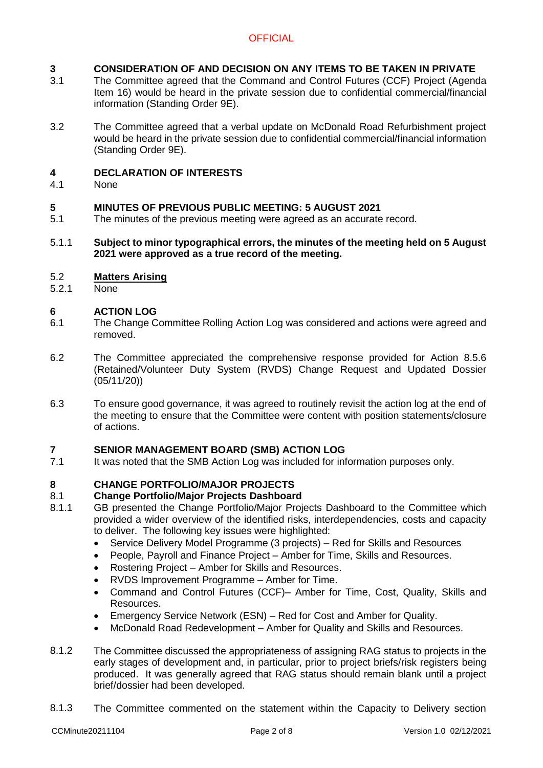### **3 CONSIDERATION OF AND DECISION ON ANY ITEMS TO BE TAKEN IN PRIVATE**

- 3.1 The Committee agreed that the Command and Control Futures (CCF) Project (Agenda Item 16) would be heard in the private session due to confidential commercial/financial information (Standing Order 9E).
- 3.2 The Committee agreed that a verbal update on McDonald Road Refurbishment project would be heard in the private session due to confidential commercial/financial information (Standing Order 9E).

### **4 DECLARATION OF INTERESTS**

4.1 None

### **5 MINUTES OF PREVIOUS PUBLIC MEETING: 5 AUGUST 2021**

5.1 The minutes of the previous meeting were agreed as an accurate record.

### 5.1.1 **Subject to minor typographical errors, the minutes of the meeting held on 5 August 2021 were approved as a true record of the meeting.**

### 5.2 **Matters Arising**

5.2.1 None

### **6 ACTION LOG**

- 6.1 The Change Committee Rolling Action Log was considered and actions were agreed and removed.
- 6.2 The Committee appreciated the comprehensive response provided for Action 8.5.6 (Retained/Volunteer Duty System (RVDS) Change Request and Updated Dossier (05/11/20))
- 6.3 To ensure good governance, it was agreed to routinely revisit the action log at the end of the meeting to ensure that the Committee were content with position statements/closure of actions.

# **7 SENIOR MANAGEMENT BOARD (SMB) ACTION LOG**

7.1 It was noted that the SMB Action Log was included for information purposes only.

### **8 CHANGE PORTFOLIO/MAJOR PROJECTS**

### 8.1 **Change Portfolio/Major Projects Dashboard**

- 8.1.1 GB presented the Change Portfolio/Major Projects Dashboard to the Committee which provided a wider overview of the identified risks, interdependencies, costs and capacity to deliver. The following key issues were highlighted:
	- Service Delivery Model Programme (3 projects) Red for Skills and Resources
	- People, Payroll and Finance Project Amber for Time, Skills and Resources.
	- Rostering Project Amber for Skills and Resources.
	- RVDS Improvement Programme Amber for Time.
	- Command and Control Futures (CCF)– Amber for Time, Cost, Quality, Skills and Resources.
	- Emergency Service Network (ESN) Red for Cost and Amber for Quality.
	- McDonald Road Redevelopment Amber for Quality and Skills and Resources.
- 8.1.2 The Committee discussed the appropriateness of assigning RAG status to projects in the early stages of development and, in particular, prior to project briefs/risk registers being produced. It was generally agreed that RAG status should remain blank until a project brief/dossier had been developed.
- 8.1.3 The Committee commented on the statement within the Capacity to Delivery section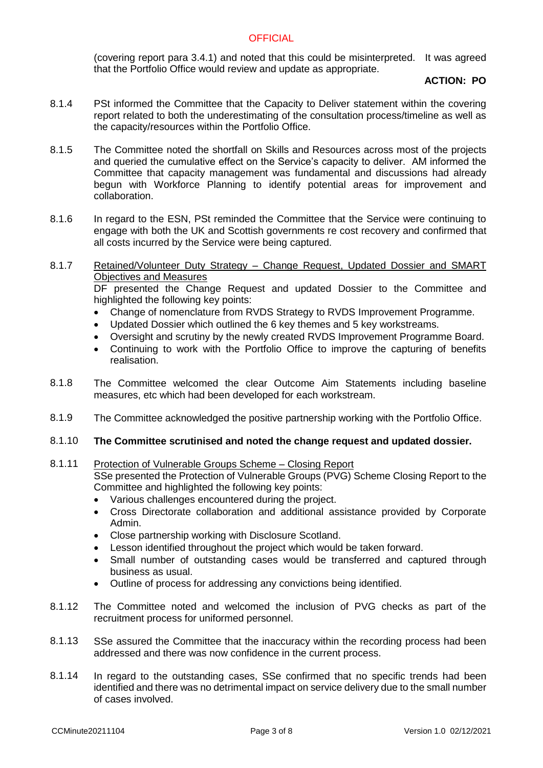(covering report para 3.4.1) and noted that this could be misinterpreted. It was agreed that the Portfolio Office would review and update as appropriate.

### **ACTION: PO**

- 8.1.4 PSt informed the Committee that the Capacity to Deliver statement within the covering report related to both the underestimating of the consultation process/timeline as well as the capacity/resources within the Portfolio Office.
- 8.1.5 The Committee noted the shortfall on Skills and Resources across most of the projects and queried the cumulative effect on the Service's capacity to deliver. AM informed the Committee that capacity management was fundamental and discussions had already begun with Workforce Planning to identify potential areas for improvement and collaboration.
- 8.1.6 In regard to the ESN, PSt reminded the Committee that the Service were continuing to engage with both the UK and Scottish governments re cost recovery and confirmed that all costs incurred by the Service were being captured.

### 8.1.7 Retained/Volunteer Duty Strategy – Change Request, Updated Dossier and SMART Objectives and Measures DF presented the Change Request and updated Dossier to the Committee and

highlighted the following key points:

- Change of nomenclature from RVDS Strategy to RVDS Improvement Programme.
- Updated Dossier which outlined the 6 key themes and 5 key workstreams.
- Oversight and scrutiny by the newly created RVDS Improvement Programme Board.
- Continuing to work with the Portfolio Office to improve the capturing of benefits realisation.
- 8.1.8 The Committee welcomed the clear Outcome Aim Statements including baseline measures, etc which had been developed for each workstream.
- 8.1.9 The Committee acknowledged the positive partnership working with the Portfolio Office.

### 8.1.10 **The Committee scrutinised and noted the change request and updated dossier.**

### 8.1.11 Protection of Vulnerable Groups Scheme – Closing Report

SSe presented the Protection of Vulnerable Groups (PVG) Scheme Closing Report to the Committee and highlighted the following key points:

- Various challenges encountered during the project.
- Cross Directorate collaboration and additional assistance provided by Corporate Admin.
- Close partnership working with Disclosure Scotland.
- Lesson identified throughout the project which would be taken forward.
- Small number of outstanding cases would be transferred and captured through business as usual.
- Outline of process for addressing any convictions being identified.
- 8.1.12 The Committee noted and welcomed the inclusion of PVG checks as part of the recruitment process for uniformed personnel.
- 8.1.13 SSe assured the Committee that the inaccuracy within the recording process had been addressed and there was now confidence in the current process.
- 8.1.14 In regard to the outstanding cases, SSe confirmed that no specific trends had been identified and there was no detrimental impact on service delivery due to the small number of cases involved.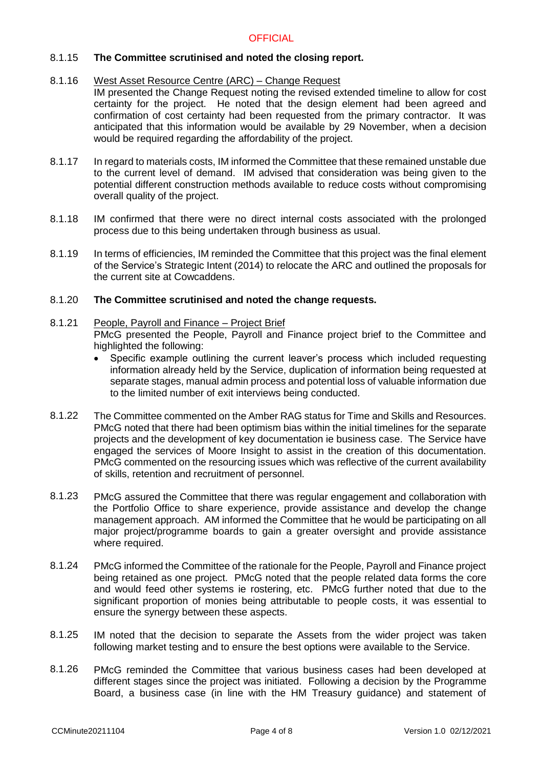### 8.1.15 **The Committee scrutinised and noted the closing report.**

### 8.1.16 West Asset Resource Centre (ARC) – Change Request

- IM presented the Change Request noting the revised extended timeline to allow for cost certainty for the project. He noted that the design element had been agreed and confirmation of cost certainty had been requested from the primary contractor. It was anticipated that this information would be available by 29 November, when a decision would be required regarding the affordability of the project.
- 8.1.17 In regard to materials costs, IM informed the Committee that these remained unstable due to the current level of demand. IM advised that consideration was being given to the potential different construction methods available to reduce costs without compromising overall quality of the project.
- 8.1.18 IM confirmed that there were no direct internal costs associated with the prolonged process due to this being undertaken through business as usual.
- 8.1.19 In terms of efficiencies, IM reminded the Committee that this project was the final element of the Service's Strategic Intent (2014) to relocate the ARC and outlined the proposals for the current site at Cowcaddens.

### 8.1.20 **The Committee scrutinised and noted the change requests.**

### 8.1.21 People, Payroll and Finance – Project Brief

PMcG presented the People, Payroll and Finance project brief to the Committee and highlighted the following:

- Specific example outlining the current leaver's process which included requesting information already held by the Service, duplication of information being requested at separate stages, manual admin process and potential loss of valuable information due to the limited number of exit interviews being conducted.
- 8.1.22 The Committee commented on the Amber RAG status for Time and Skills and Resources. PMcG noted that there had been optimism bias within the initial timelines for the separate projects and the development of key documentation ie business case. The Service have engaged the services of Moore Insight to assist in the creation of this documentation. PMcG commented on the resourcing issues which was reflective of the current availability of skills, retention and recruitment of personnel.
- 8.1.23 PMcG assured the Committee that there was regular engagement and collaboration with the Portfolio Office to share experience, provide assistance and develop the change management approach. AM informed the Committee that he would be participating on all major project/programme boards to gain a greater oversight and provide assistance where required.
- 8.1.24 PMcG informed the Committee of the rationale for the People, Payroll and Finance project being retained as one project. PMcG noted that the people related data forms the core and would feed other systems ie rostering, etc. PMcG further noted that due to the significant proportion of monies being attributable to people costs, it was essential to ensure the synergy between these aspects.
- 8.1.25 IM noted that the decision to separate the Assets from the wider project was taken following market testing and to ensure the best options were available to the Service.
- 8.1.26 PMcG reminded the Committee that various business cases had been developed at different stages since the project was initiated. Following a decision by the Programme Board, a business case (in line with the HM Treasury guidance) and statement of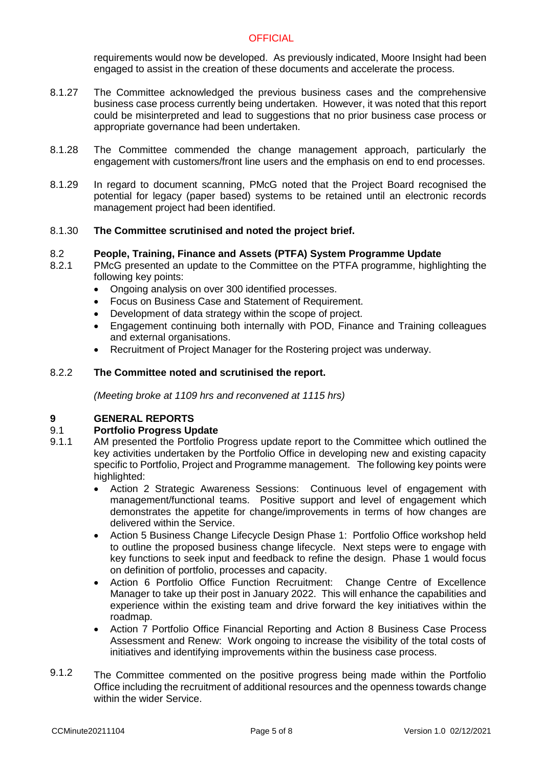requirements would now be developed. As previously indicated, Moore Insight had been engaged to assist in the creation of these documents and accelerate the process.

- 8.1.27 The Committee acknowledged the previous business cases and the comprehensive business case process currently being undertaken. However, it was noted that this report could be misinterpreted and lead to suggestions that no prior business case process or appropriate governance had been undertaken.
- 8.1.28 The Committee commended the change management approach, particularly the engagement with customers/front line users and the emphasis on end to end processes.
- 8.1.29 In regard to document scanning, PMcG noted that the Project Board recognised the potential for legacy (paper based) systems to be retained until an electronic records management project had been identified.

### 8.1.30 **The Committee scrutinised and noted the project brief.**

### 8.2 **People, Training, Finance and Assets (PTFA) System Programme Update**

- 8.2.1 PMcG presented an update to the Committee on the PTFA programme, highlighting the following key points:
	- Ongoing analysis on over 300 identified processes.
	- Focus on Business Case and Statement of Requirement.
	- Development of data strategy within the scope of project.
	- Engagement continuing both internally with POD, Finance and Training colleagues and external organisations.
	- Recruitment of Project Manager for the Rostering project was underway.

### 8.2.2 **The Committee noted and scrutinised the report.**

*(Meeting broke at 1109 hrs and reconvened at 1115 hrs)*

# **9 GENERAL REPORTS**

### 9.1 **Portfolio Progress Update**

- 9.1.1 AM presented the Portfolio Progress update report to the Committee which outlined the key activities undertaken by the Portfolio Office in developing new and existing capacity specific to Portfolio, Project and Programme management. The following key points were highlighted:
	- Action 2 Strategic Awareness Sessions: Continuous level of engagement with management/functional teams. Positive support and level of engagement which demonstrates the appetite for change/improvements in terms of how changes are delivered within the Service.
	- Action 5 Business Change Lifecycle Design Phase 1: Portfolio Office workshop held to outline the proposed business change lifecycle. Next steps were to engage with key functions to seek input and feedback to refine the design. Phase 1 would focus on definition of portfolio, processes and capacity.
	- Action 6 Portfolio Office Function Recruitment: Change Centre of Excellence Manager to take up their post in January 2022. This will enhance the capabilities and experience within the existing team and drive forward the key initiatives within the roadmap.
	- Action 7 Portfolio Office Financial Reporting and Action 8 Business Case Process Assessment and Renew: Work ongoing to increase the visibility of the total costs of initiatives and identifying improvements within the business case process.
- 9.1.2 The Committee commented on the positive progress being made within the Portfolio Office including the recruitment of additional resources and the openness towards change within the wider Service.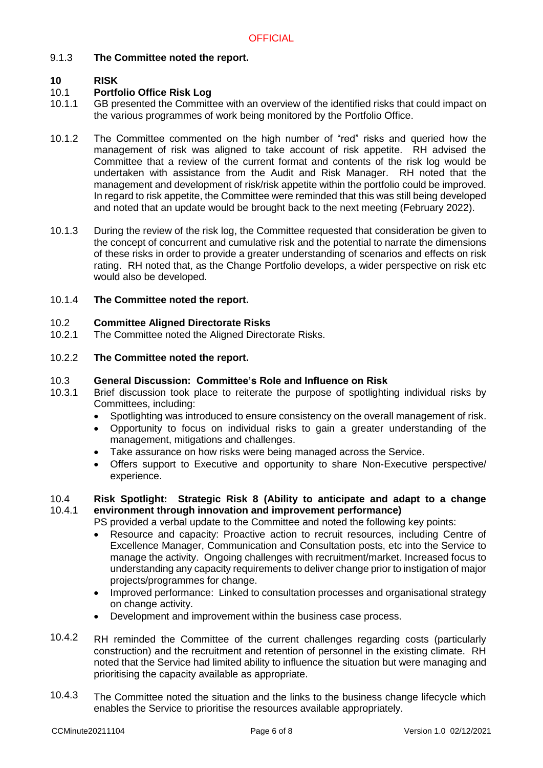### 9.1.3 **The Committee noted the report.**

### **10 RISK**

### 10.1 **Portfolio Office Risk Log**

- 10.1.1 GB presented the Committee with an overview of the identified risks that could impact on the various programmes of work being monitored by the Portfolio Office.
- 10.1.2 The Committee commented on the high number of "red" risks and queried how the management of risk was aligned to take account of risk appetite. RH advised the Committee that a review of the current format and contents of the risk log would be undertaken with assistance from the Audit and Risk Manager. RH noted that the management and development of risk/risk appetite within the portfolio could be improved. In regard to risk appetite, the Committee were reminded that this was still being developed and noted that an update would be brought back to the next meeting (February 2022).
- 10.1.3 During the review of the risk log, the Committee requested that consideration be given to the concept of concurrent and cumulative risk and the potential to narrate the dimensions of these risks in order to provide a greater understanding of scenarios and effects on risk rating. RH noted that, as the Change Portfolio develops, a wider perspective on risk etc would also be developed.

### 10.1.4 **The Committee noted the report.**

### 10.2 **Committee Aligned Directorate Risks**

10.2.1 The Committee noted the Aligned Directorate Risks.

### 10.2.2 **The Committee noted the report.**

### 10.3 **General Discussion: Committee's Role and Influence on Risk**

- 10.3.1 Brief discussion took place to reiterate the purpose of spotlighting individual risks by Committees, including:
	- Spotlighting was introduced to ensure consistency on the overall management of risk.
	- Opportunity to focus on individual risks to gain a greater understanding of the management, mitigations and challenges.
	- Take assurance on how risks were being managed across the Service.
	- Offers support to Executive and opportunity to share Non-Executive perspective/ experience.

### 10.4 10.4.1 **Risk Spotlight: Strategic Risk 8 (Ability to anticipate and adapt to a change environment through innovation and improvement performance)**

PS provided a verbal update to the Committee and noted the following key points:

- Resource and capacity: Proactive action to recruit resources, including Centre of Excellence Manager, Communication and Consultation posts, etc into the Service to manage the activity. Ongoing challenges with recruitment/market. Increased focus to understanding any capacity requirements to deliver change prior to instigation of major projects/programmes for change.
- Improved performance: Linked to consultation processes and organisational strategy on change activity.
- Development and improvement within the business case process.
- 10.4.2 RH reminded the Committee of the current challenges regarding costs (particularly construction) and the recruitment and retention of personnel in the existing climate. RH noted that the Service had limited ability to influence the situation but were managing and prioritising the capacity available as appropriate.
- 10.4.3 The Committee noted the situation and the links to the business change lifecycle which enables the Service to prioritise the resources available appropriately.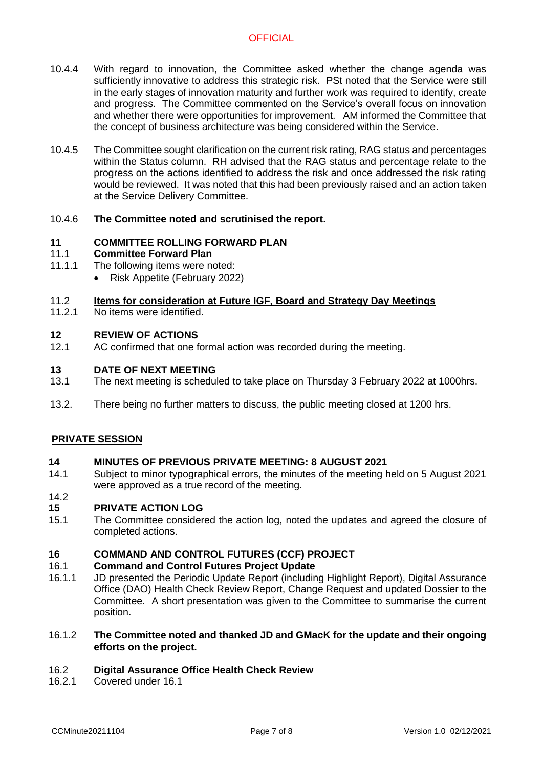- 10.4.4 With regard to innovation, the Committee asked whether the change agenda was sufficiently innovative to address this strategic risk. PSt noted that the Service were still in the early stages of innovation maturity and further work was required to identify, create and progress. The Committee commented on the Service's overall focus on innovation and whether there were opportunities for improvement. AM informed the Committee that the concept of business architecture was being considered within the Service.
- 10.4.5 The Committee sought clarification on the current risk rating, RAG status and percentages within the Status column. RH advised that the RAG status and percentage relate to the progress on the actions identified to address the risk and once addressed the risk rating would be reviewed. It was noted that this had been previously raised and an action taken at the Service Delivery Committee.

### 10.4.6 **The Committee noted and scrutinised the report.**

### **11 COMMITTEE ROLLING FORWARD PLAN**

### 11.1 **Committee Forward Plan**

- 11.1.1 The following items were noted:
	- Risk Appetite (February 2022)

### 11.2 **Items for consideration at Future IGF, Board and Strategy Day Meetings**

11.2.1 No items were identified.

### **12 REVIEW OF ACTIONS**

12.1 AC confirmed that one formal action was recorded during the meeting.

### **13 DATE OF NEXT MEETING**

- 13.1 The next meeting is scheduled to take place on Thursday 3 February 2022 at 1000hrs.
- 13.2. There being no further matters to discuss, the public meeting closed at 1200 hrs.

# **PRIVATE SESSION**

### **14 MINUTES OF PREVIOUS PRIVATE MEETING: 8 AUGUST 2021**

14.1 Subject to minor typographical errors, the minutes of the meeting held on 5 August 2021 were approved as a true record of the meeting.

### 14.2

### **15 PRIVATE ACTION LOG**

15.1 The Committee considered the action log, noted the updates and agreed the closure of completed actions.

### **16 COMMAND AND CONTROL FUTURES (CCF) PROJECT**

### 16.1 **Command and Control Futures Project Update**

16.1.1 JD presented the Periodic Update Report (including Highlight Report), Digital Assurance Office (DAO) Health Check Review Report, Change Request and updated Dossier to the Committee. A short presentation was given to the Committee to summarise the current position.

### 16.1.2 **The Committee noted and thanked JD and GMacK for the update and their ongoing efforts on the project.**

### 16.2 **Digital Assurance Office Health Check Review**

16.2.1 Covered under 16.1